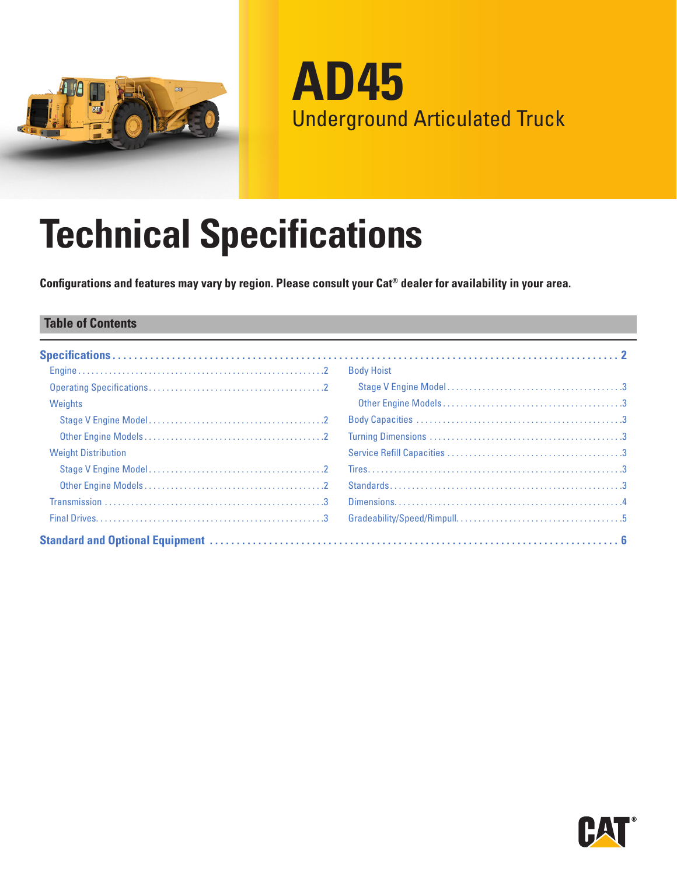

**AD45** Underground Articulated Truck

# **Technical Specifications**

**Configurations and features may vary by region. Please consult your Cat® dealer for availability in your area.**

#### **Table of Contents**

|                            | <b>Body Hoist</b> |
|----------------------------|-------------------|
|                            |                   |
| Weights                    |                   |
|                            |                   |
|                            |                   |
| <b>Weight Distribution</b> |                   |
|                            |                   |
|                            |                   |
|                            |                   |
|                            |                   |
|                            |                   |

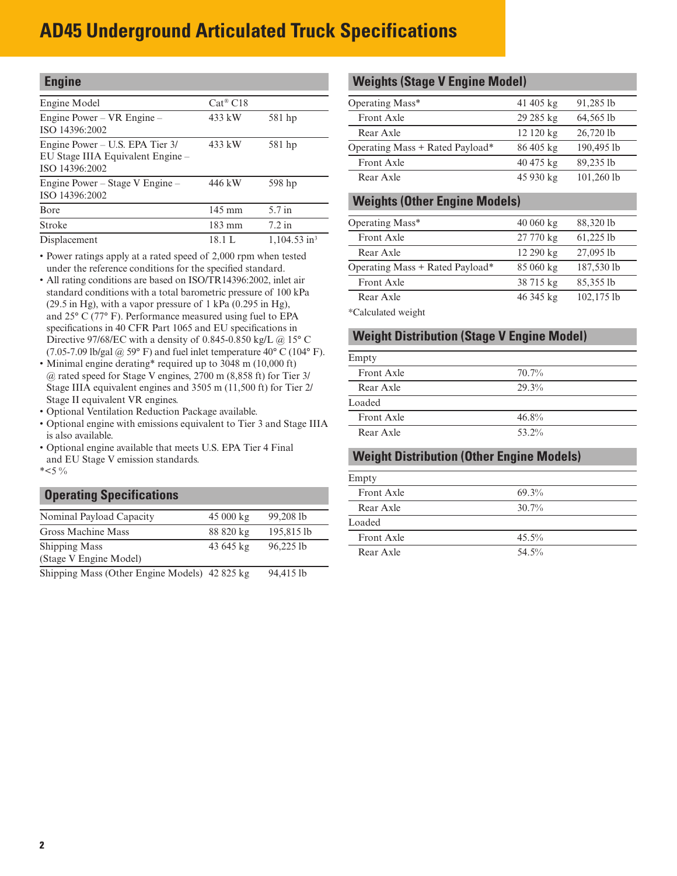<span id="page-1-0"></span>

| <b>Engine</b>                                                                          |                     |                            |
|----------------------------------------------------------------------------------------|---------------------|----------------------------|
| Engine Model                                                                           | $Cat^{\otimes} C18$ |                            |
| Engine Power – VR Engine –<br>ISO 14396:2002                                           | 433 kW              | 581 hp                     |
| Engine Power – U.S. EPA Tier 3/<br>EU Stage IIIA Equivalent Engine -<br>ISO 14396:2002 | 433 kW              | 581 hp                     |
| Engine Power – Stage V Engine –<br>ISO 14396:2002                                      | 446 kW              | 598 hp                     |
| <b>B</b> ore                                                                           | $145 \text{ mm}$    | 5.7 in                     |
| Stroke                                                                                 | $183 \text{ mm}$    | $7.2$ in                   |
| Displacement                                                                           | 18.1 L              | $1,104.53$ in <sup>3</sup> |

• Power ratings apply at a rated speed of 2,000 rpm when tested under the reference conditions for the specified standard.

- All rating conditions are based on ISO/TR14396:2002, inlet air standard conditions with a total barometric pressure of 100 kPa (29.5 in Hg), with a vapor pressure of 1 kPa (0.295 in Hg), and 25° C (77° F). Performance measured using fuel to EPA specifications in 40 CFR Part 1065 and EU specifications in Directive 97/68/EC with a density of 0.845-0.850 kg/L @ 15° C (7.05-7.09 lb/gal  $\omega$  59° F) and fuel inlet temperature 40° C (104° F).
- Minimal engine derating\* required up to 3048 m (10,000 ft) @ rated speed for Stage V engines, 2700 m (8,858 ft) for Tier 3/ Stage IIIA equivalent engines and 3505 m (11,500 ft) for Tier 2/ Stage II equivalent VR engines.
- Optional Ventilation Reduction Package available.
- Optional engine with emissions equivalent to Tier 3 and Stage IIIA is also available.
- Optional engine available that meets U.S. EPA Tier 4 Final and EU Stage V emission standards.

 $*<5\%$ 

## **Operating Specifications**

| Nominal Payload Capacity                             | $45000 \text{ kg}$ | 99,208 lb    |
|------------------------------------------------------|--------------------|--------------|
| Gross Machine Mass                                   | 88 820 kg          | 195,815 lb   |
| <b>Shipping Mass</b>                                 | 43 645 kg          | 96.225 lb    |
| (Stage V Engine Model)                               |                    |              |
| $\chi$ Chinning Mass (Other Engine Models) 42.825 kg |                    | 0.4, 115, 11 |

Shipping Mass (Other Engine Models) 42 825 kg 94,415 lb

#### **Weights (Stage V Engine Model)**

| Operating Mass*                 | $41405 \text{ kg}$ | 91,285 lb    |
|---------------------------------|--------------------|--------------|
| Front Axle                      | 29 285 kg          | 64,565 lb    |
| Rear Axle                       | 12120 kg           | 26,720 lb    |
| Operating Mass + Rated Payload* | $86405 \text{ kg}$ | 190,495 lb   |
| <b>Front Axle</b>               | $40475 \text{ kg}$ | 89,235 lb    |
| Rear Axle                       | 45 930 kg          | $101,260$ lb |

#### **Weights (Other Engine Models)**

| Operating Mass*                 | $40060 \text{ kg}$ | 88,320 lb     |  |
|---------------------------------|--------------------|---------------|--|
| Front Axle                      | 27 770 kg          | $61,225$ lb   |  |
| Rear Axle                       | $12290 \text{ kg}$ | 27,095 lb     |  |
| Operating Mass + Rated Payload* | 85 060 kg          | 187,530 lb    |  |
| <b>Front Axle</b>               | 38 715 kg          | 85,355 lb     |  |
| Rear Axle                       | 46 345 kg          | $102, 175$ lb |  |
|                                 |                    |               |  |

\*Calculated weight

#### **Weight Distribution (Stage V Engine Model)**

| Empty      |          |  |
|------------|----------|--|
| Front Axle | $70.7\%$ |  |
| Rear Axle  | 29.3%    |  |
| Loaded     |          |  |
| Front Axle | $46.8\%$ |  |
| Rear Axle  | 53.2%    |  |

## **Weight Distribution (Other Engine Models)**

| Empty      |          |
|------------|----------|
| Front Axle | 69.3%    |
| Rear Axle  | $30.7\%$ |
| Loaded     |          |
| Front Axle | $45.5\%$ |
| Rear Axle  | 54.5%    |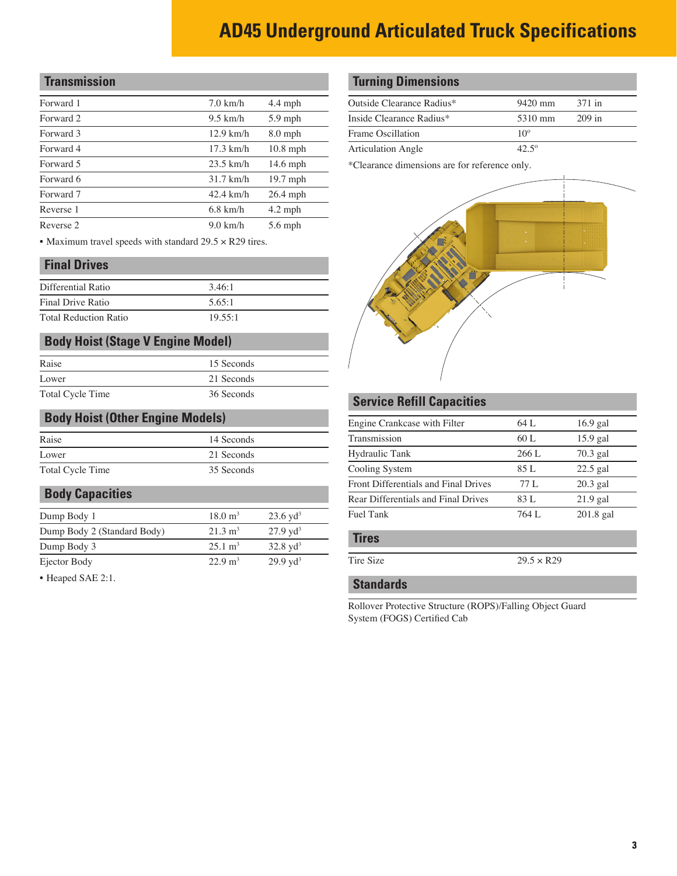## <span id="page-2-0"></span>**Transmission**

| Forward 1 | $7.0$ km/h  | $4.4$ mph  |
|-----------|-------------|------------|
| Forward 2 | $9.5$ km/h  | $5.9$ mph  |
| Forward 3 | $12.9$ km/h | $8.0$ mph  |
| Forward 4 | $17.3$ km/h | $10.8$ mph |
| Forward 5 | $23.5$ km/h | $14.6$ mph |
| Forward 6 | $31.7$ km/h | $19.7$ mph |
| Forward 7 | $42.4$ km/h | $26.4$ mph |
| Reverse 1 | $6.8$ km/h  | $4.2$ mph  |
| Reverse 2 | $9.0$ km/h  | $5.6$ mph  |

• Maximum travel speeds with standard 29.5 × R29 tires.

#### **Final Drives**

| Differential Ratio           | 3.46:1  |
|------------------------------|---------|
| Final Drive Ratio            | 5.65:1  |
| <b>Total Reduction Ratio</b> | 19.55:1 |

## **Body Hoist (Stage V Engine Model)**

| Raise            | 15 Seconds |
|------------------|------------|
| Lower            | 21 Seconds |
| Total Cycle Time | 36 Seconds |

#### **Body Hoist (Other Engine Models)**

| Raise            | 14 Seconds |  |
|------------------|------------|--|
| Lower            | 21 Seconds |  |
| Total Cycle Time | 35 Seconds |  |

#### **Body Capacities**

| Dump Body 1                 | $18.0 \text{ m}^3$ | $23.6 \text{ yd}^3$ |
|-----------------------------|--------------------|---------------------|
| Dump Body 2 (Standard Body) | $21.3 \text{ m}^3$ | $27.9 \text{ vd}^3$ |
| Dump Body 3                 | $25.1 \text{ m}^3$ | $32.8 \text{ yd}^3$ |
| Ejector Body                | $22.9 \text{ m}^3$ | $29.9 \text{ yd}^3$ |

• Heaped SAE 2:1.

#### **Turning Dimensions**

| $9420 \text{ mm}$ | 371 in   |
|-------------------|----------|
| 5310 mm           | $209$ in |
| $10^{\circ}$      |          |
| $42.5^{\circ}$    |          |
|                   |          |

\*Clearance dimensions are for reference only.



#### **Service Refill Capacities**

| Engine Crankcase with Filter         | 64 L               | $16.9$ gal |
|--------------------------------------|--------------------|------------|
| Transmission                         | 60 L               | 15.9 gal   |
| Hydraulic Tank                       | 266 L              | $70.3$ gal |
| Cooling System                       | 85 L               | $22.5$ gal |
| Front Differentials and Final Drives | 77L                | $20.3$ gal |
| Rear Differentials and Final Drives  | 83 L               | $21.9$ gal |
| <b>Fuel Tank</b>                     | 764 L              | 201.8 gal  |
| <b>Tires</b>                         |                    |            |
| Tire Size                            | $29.5 \times R$ 29 |            |

#### **Standards**

Rollover Protective Structure (ROPS)/Falling Object Guard System (FOGS) Certified Cab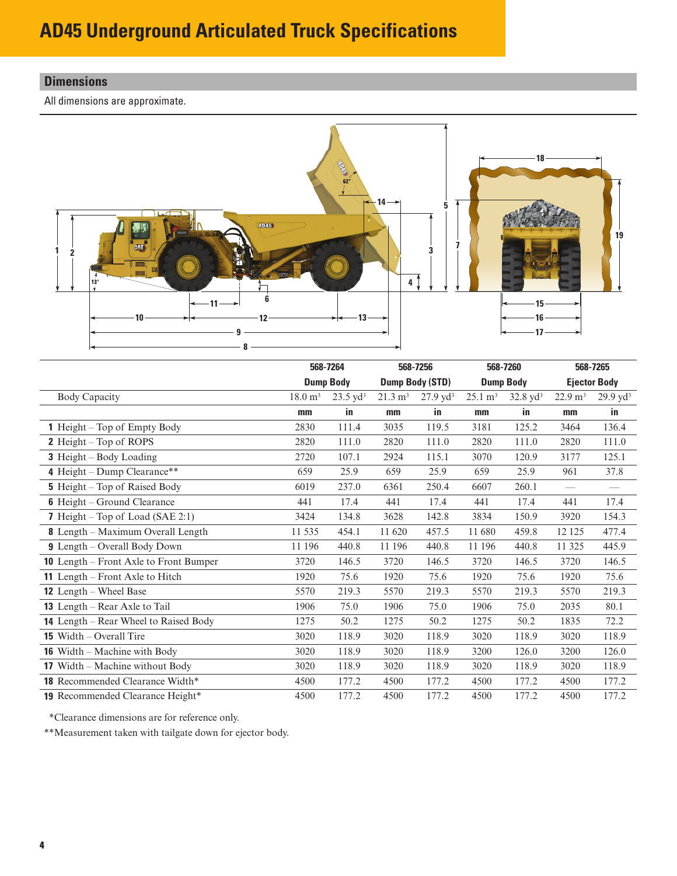## <span id="page-3-0"></span>**Dimensions**

All dimensions are approximate.



|                                               |                    | 568-7264<br>568-7256<br><b>Dump Body</b><br>Dump Body (STD) |                    | 568-7260            |                    | 568-7265            |                    |                          |
|-----------------------------------------------|--------------------|-------------------------------------------------------------|--------------------|---------------------|--------------------|---------------------|--------------------|--------------------------|
|                                               |                    |                                                             |                    |                     |                    | <b>Dump Body</b>    |                    | <b>Ejector Body</b>      |
| <b>Body Capacity</b>                          | $18.0 \text{ m}^3$ | $23.5 \text{ yd}^3$                                         | $21.3 \text{ m}^3$ | $27.9 \text{ yd}^3$ | $25.1 \text{ m}^3$ | $32.8 \text{ yd}^3$ | $22.9 \text{ m}^3$ | $29.9 \text{ yd}^3$      |
|                                               | mm                 | in                                                          | mm                 | in.                 | mm                 | in.                 | mm                 | in.                      |
| <b>1</b> Height – Top of Empty Body           | 2830               | 111.4                                                       | 3035               | 119.5               | 3181               | 125.2               | 3464               | 136.4                    |
| 2 Height – Top of ROPS                        | 2820               | 111.0                                                       | 2820               | 111.0               | 2820               | 111.0               | 2820               | 111.0                    |
| <b>3</b> Height – Body Loading                | 2720               | 107.1                                                       | 2924               | 115.1               | 3070               | 120.9               | 3177               | 125.1                    |
| 4 Height – Dump Clearance**                   | 659                | 25.9                                                        | 659                | 25.9                | 659                | 25.9                | 961                | 37.8                     |
| <b>5</b> Height – Top of Raised Body          | 6019               | 237.0                                                       | 6361               | 250.4               | 6607               | 260.1               | $\equiv$           | $\overline{\phantom{0}}$ |
| <b>6</b> Height – Ground Clearance            | 441                | 17.4                                                        | 441                | 17.4                | 441                | 17.4                | 441                | 17.4                     |
| 7 Height – Top of Load (SAE 2:1)              | 3424               | 134.8                                                       | 3628               | 142.8               | 3834               | 150.9               | 3920               | 154.3                    |
| 8 Length - Maximum Overall Length             | 11 535             | 454.1                                                       | 11 620             | 457.5               | 11 680             | 459.8               | 12 12 5            | 477.4                    |
| <b>9</b> Length – Overall Body Down           | 11 196             | 440.8                                                       | 11 196             | 440.8               | 11 196             | 440.8               | 11 325             | 445.9                    |
| <b>10</b> Length – Front Axle to Front Bumper | 3720               | 146.5                                                       | 3720               | 146.5               | 3720               | 146.5               | 3720               | 146.5                    |
| 11 Length – Front Axle to Hitch               | 1920               | 75.6                                                        | 1920               | 75.6                | 1920               | 75.6                | 1920               | 75.6                     |
| <b>12</b> Length – Wheel Base                 | 5570               | 219.3                                                       | 5570               | 219.3               | 5570               | 219.3               | 5570               | 219.3                    |
| <b>13</b> Length – Rear Axle to Tail          | 1906               | 75.0                                                        | 1906               | 75.0                | 1906               | 75.0                | 2035               | 80.1                     |
| 14 Length – Rear Wheel to Raised Body         | 1275               | 50.2                                                        | 1275               | 50.2                | 1275               | 50.2                | 1835               | 72.2                     |
| <b>15</b> Width $-$ Overall Tire              | 3020               | 118.9                                                       | 3020               | 118.9               | 3020               | 118.9               | 3020               | 118.9                    |
| <b>16</b> Width – Machine with Body           | 3020               | 118.9                                                       | 3020               | 118.9               | 3200               | 126.0               | 3200               | 126.0                    |
| <b>17</b> Width – Machine without Body        | 3020               | 118.9                                                       | 3020               | 118.9               | 3020               | 118.9               | 3020               | 118.9                    |
| 18 Recommended Clearance Width*               | 4500               | 177.2                                                       | 4500               | 177.2               | 4500               | 177.2               | 4500               | 177.2                    |
| <b>19</b> Recommended Clearance Height*       | 4500               | 177.2                                                       | 4500               | 177.2               | 4500               | 177.2               | 4500               | 177.2                    |

\*Clearance dimensions are for reference only.

\*\*Measurement taken with tailgate down for ejector body.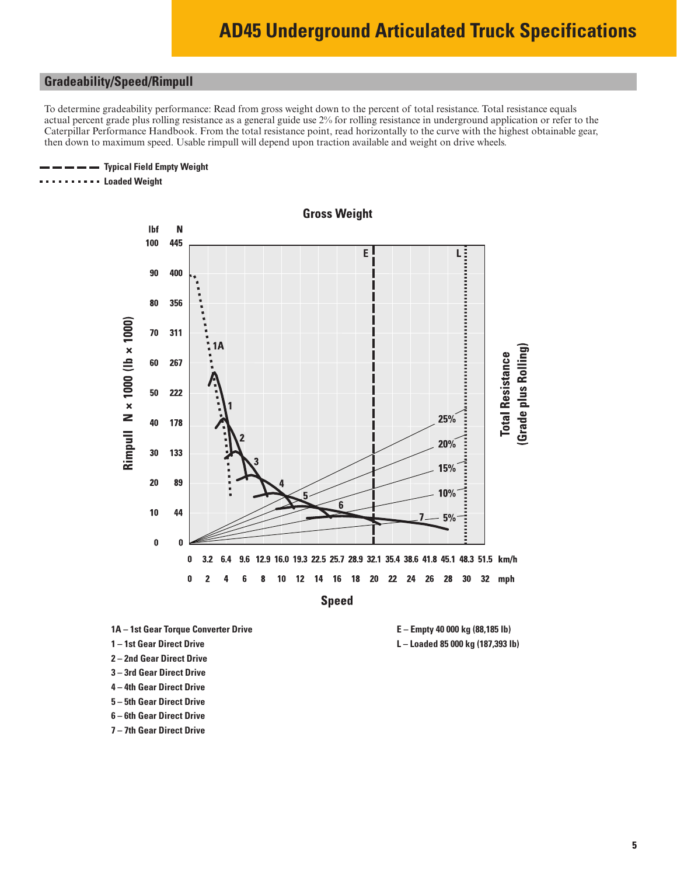#### <span id="page-4-0"></span>**Gradeability/Speed/Rimpull**

To determine gradeability performance: Read from gross weight down to the percent of total resistance. Total resistance equals actual percent grade plus rolling resistance as a general guide use 2% for rolling resistance in underground application or refer to the Caterpillar Performance Handbook. From the total resistance point, read horizontally to the curve with the highest obtainable gear, then down to maximum speed. Usable rimpull will depend upon traction available and weight on drive wheels.

#### **Typical Field Empty Weight**

**Loaded Weight**



- **1A 1st Gear Torque Converter Drive**
- **1 1st Gear Direct Drive**
- **2 2nd Gear Direct Drive**
- **3 3rd Gear Direct Drive**
- **4 4th Gear Direct Drive**
- **5 5th Gear Direct Drive**
- **6 6th Gear Direct Drive**
- **7 7th Gear Direct Drive**

**E – Empty 40 000 kg (88,185 lb) L – Loaded 85 000 kg (187,393 lb)**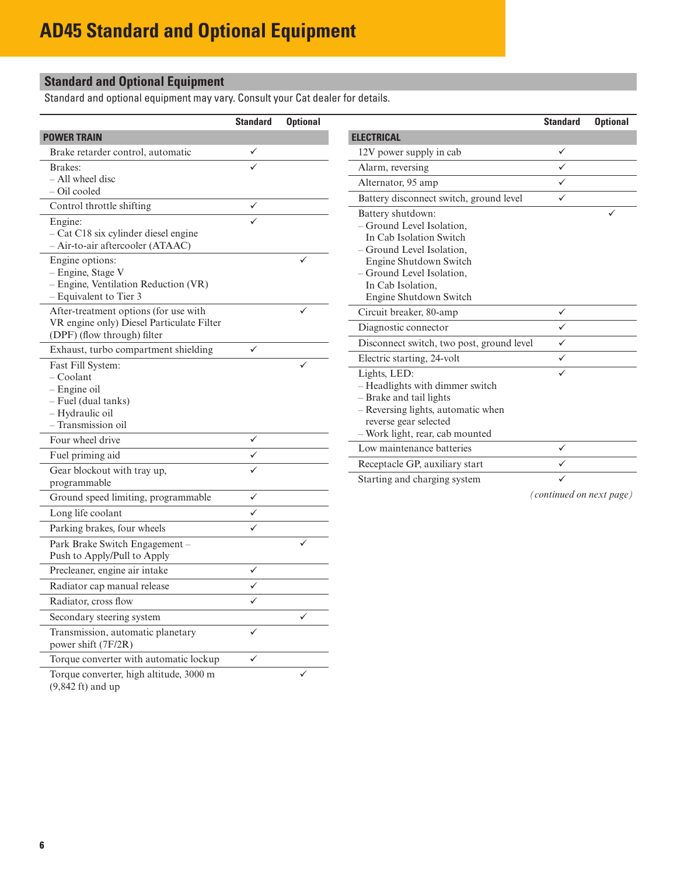## <span id="page-5-0"></span>**Standard and Optional Equipment**

Standard and optional equipment may vary. Consult your Cat dealer for details.

|                                                                                                          | <b>Standard</b>         | <b>Optional</b> |                                                                                                                                                                              | <b>Standard</b>          | <b>Optional</b> |
|----------------------------------------------------------------------------------------------------------|-------------------------|-----------------|------------------------------------------------------------------------------------------------------------------------------------------------------------------------------|--------------------------|-----------------|
| <b>POWER TRAIN</b>                                                                                       |                         |                 | <b>ELECTRICAL</b>                                                                                                                                                            |                          |                 |
| Brake retarder control, automatic                                                                        | ✓                       |                 | 12V power supply in cab                                                                                                                                                      | ✓                        |                 |
| Brakes:                                                                                                  |                         |                 | Alarm, reversing                                                                                                                                                             | ✓                        |                 |
| - All wheel disc                                                                                         |                         |                 | Alternator, 95 amp                                                                                                                                                           | $\checkmark$             |                 |
| - Oil cooled                                                                                             |                         |                 | Battery disconnect switch, ground level                                                                                                                                      | $\checkmark$             |                 |
| Control throttle shifting                                                                                | ✓                       |                 | Battery shutdown:                                                                                                                                                            |                          |                 |
| Engine:<br>- Cat C18 six cylinder diesel engine<br>- Air-to-air aftercooler (ATAAC)                      | $\checkmark$            |                 | - Ground Level Isolation,<br>In Cab Isolation Switch<br>- Ground Level Isolation,                                                                                            |                          |                 |
| Engine options:<br>- Engine, Stage V<br>$-$ Engine, Ventilation Reduction (VR)<br>- Equivalent to Tier 3 |                         | ✓               | Engine Shutdown Switch<br>- Ground Level Isolation,<br>In Cab Isolation,<br>Engine Shutdown Switch                                                                           |                          |                 |
| After-treatment options (for use with                                                                    |                         | ✓               | Circuit breaker, 80-amp                                                                                                                                                      | $\checkmark$             |                 |
| VR engine only) Diesel Particulate Filter<br>(DPF) (flow through) filter                                 |                         |                 | Diagnostic connector                                                                                                                                                         | $\checkmark$             |                 |
| Exhaust, turbo compartment shielding                                                                     | $\checkmark$            |                 | Disconnect switch, two post, ground level                                                                                                                                    | $\checkmark$             |                 |
| Fast Fill System:                                                                                        |                         | ✓               | Electric starting, 24-volt                                                                                                                                                   | $\checkmark$             |                 |
| - Coolant<br>$-$ Engine oil<br>- Fuel (dual tanks)<br>- Hydraulic oil<br>- Transmission oil              |                         |                 | Lights, LED:<br>- Headlights with dimmer switch<br>- Brake and tail lights<br>- Reversing lights, automatic when<br>reverse gear selected<br>- Work light, rear, cab mounted | $\checkmark$             |                 |
| Four wheel drive                                                                                         | $\checkmark$            |                 | Low maintenance batteries                                                                                                                                                    | $\checkmark$             |                 |
| Fuel priming aid                                                                                         | ✓                       |                 | Receptacle GP, auxiliary start                                                                                                                                               | $\checkmark$             |                 |
| Gear blockout with tray up,<br>programmable                                                              | ✓                       |                 | Starting and charging system                                                                                                                                                 | $\checkmark$             |                 |
| Ground speed limiting, programmable                                                                      | $\checkmark$            |                 |                                                                                                                                                                              | (continued on next page) |                 |
| Long life coolant                                                                                        | $\checkmark$            |                 |                                                                                                                                                                              |                          |                 |
| Parking brakes, four wheels                                                                              | $\overline{\checkmark}$ |                 |                                                                                                                                                                              |                          |                 |
| Park Brake Switch Engagement -<br>Push to Apply/Pull to Apply                                            |                         |                 |                                                                                                                                                                              |                          |                 |
| Precleaner, engine air intake                                                                            | $\checkmark$            |                 |                                                                                                                                                                              |                          |                 |
| Radiator cap manual release                                                                              | $\checkmark$            |                 |                                                                                                                                                                              |                          |                 |
| Radiator, cross flow                                                                                     | $\checkmark$            |                 |                                                                                                                                                                              |                          |                 |
| Secondary steering system                                                                                |                         | $\checkmark$    |                                                                                                                                                                              |                          |                 |
| Transmission, automatic planetary<br>power shift (7F/2R)                                                 | $\checkmark$            |                 |                                                                                                                                                                              |                          |                 |
| Torque converter with automatic lockup                                                                   | ✓                       |                 |                                                                                                                                                                              |                          |                 |

Torque converter, high altitude, 3000 m (9,842 ft) and up  $\checkmark$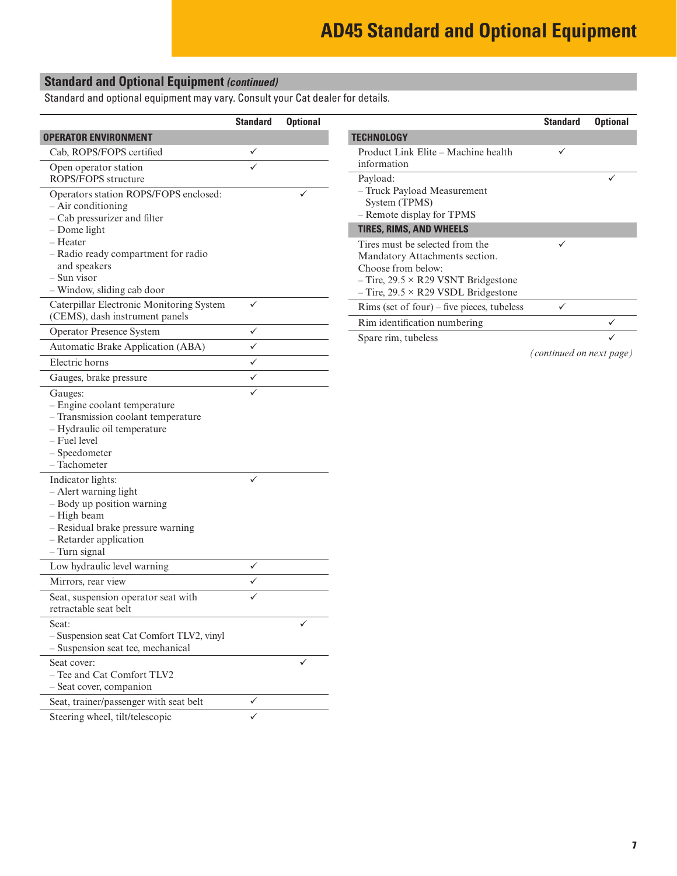## **Standard and Optional Equipment** *(continued)*

Standard and optional equipment may vary. Consult your Cat dealer for details.

|                                                                   | <b>Standard</b> | <b>Optional</b> |                                                                   | <b>Standard</b>          | <b>Optional</b> |
|-------------------------------------------------------------------|-----------------|-----------------|-------------------------------------------------------------------|--------------------------|-----------------|
| <b>OPERATOR ENVIRONMENT</b>                                       |                 |                 | <b>TECHNOLOGY</b>                                                 |                          |                 |
| Cab, ROPS/FOPS certified                                          | ✓               |                 | Product Link Elite - Machine health                               | ✓                        |                 |
| Open operator station                                             | $\checkmark$    |                 | information                                                       |                          |                 |
| ROPS/FOPS structure                                               |                 |                 | Payload:                                                          |                          | ✓               |
| Operators station ROPS/FOPS enclosed:                             |                 | ✓               | - Truck Payload Measurement                                       |                          |                 |
| $-$ Air conditioning                                              |                 |                 | System (TPMS)<br>- Remote display for TPMS                        |                          |                 |
| - Cab pressurizer and filter                                      |                 |                 |                                                                   |                          |                 |
| $-$ Dome light<br>$-$ Heater                                      |                 |                 | <b>TIRES, RIMS, AND WHEELS</b>                                    |                          |                 |
| - Radio ready compartment for radio                               |                 |                 | Tires must be selected from the<br>Mandatory Attachments section. | ✓                        |                 |
| and speakers                                                      |                 |                 | Choose from below:                                                |                          |                 |
| - Sun visor                                                       |                 |                 | $-$ Tire, 29.5 $\times$ R29 VSNT Bridgestone                      |                          |                 |
| - Window, sliding cab door                                        |                 |                 | $-$ Tire, 29.5 $\times$ R29 VSDL Bridgestone                      |                          |                 |
| Caterpillar Electronic Monitoring System                          | $\checkmark$    |                 | Rims (set of four) – five pieces, tubeless                        | $\checkmark$             |                 |
| (CEMS), dash instrument panels                                    |                 |                 | Rim identification numbering                                      |                          | ✓               |
| <b>Operator Presence System</b>                                   | ✓               |                 | Spare rim, tubeless                                               |                          |                 |
| Automatic Brake Application (ABA)                                 | $\checkmark$    |                 |                                                                   | (continued on next page) |                 |
| Electric horns                                                    | $\checkmark$    |                 |                                                                   |                          |                 |
| Gauges, brake pressure                                            | ✓               |                 |                                                                   |                          |                 |
| Gauges:                                                           | $\checkmark$    |                 |                                                                   |                          |                 |
| - Engine coolant temperature                                      |                 |                 |                                                                   |                          |                 |
| - Transmission coolant temperature<br>- Hydraulic oil temperature |                 |                 |                                                                   |                          |                 |
| - Fuel level                                                      |                 |                 |                                                                   |                          |                 |
| - Speedometer                                                     |                 |                 |                                                                   |                          |                 |
| - Tachometer                                                      |                 |                 |                                                                   |                          |                 |
| Indicator lights:                                                 | $\checkmark$    |                 |                                                                   |                          |                 |
| $-$ Alert warning light                                           |                 |                 |                                                                   |                          |                 |
| - Body up position warning                                        |                 |                 |                                                                   |                          |                 |
| - High beam                                                       |                 |                 |                                                                   |                          |                 |
| - Residual brake pressure warning<br>$-$ Retarder application     |                 |                 |                                                                   |                          |                 |
| $-$ Turn signal                                                   |                 |                 |                                                                   |                          |                 |
| Low hydraulic level warning                                       | $\checkmark$    |                 |                                                                   |                          |                 |
| Mirrors, rear view                                                | $\checkmark$    |                 |                                                                   |                          |                 |
| Seat, suspension operator seat with                               | ✓               |                 |                                                                   |                          |                 |
| retractable seat belt                                             |                 |                 |                                                                   |                          |                 |
| Seat:                                                             |                 | ✓               |                                                                   |                          |                 |
| - Suspension seat Cat Comfort TLV2, vinyl                         |                 |                 |                                                                   |                          |                 |
| - Suspension seat tee, mechanical                                 |                 |                 |                                                                   |                          |                 |
| Seat cover:                                                       |                 | ✓               |                                                                   |                          |                 |
| - Tee and Cat Comfort TLV2                                        |                 |                 |                                                                   |                          |                 |
| - Seat cover, companion                                           |                 |                 |                                                                   |                          |                 |
| Seat, trainer/passenger with seat belt                            | ✓               |                 |                                                                   |                          |                 |
| Steering wheel, tilt/telescopic                                   | $\checkmark$    |                 |                                                                   |                          |                 |